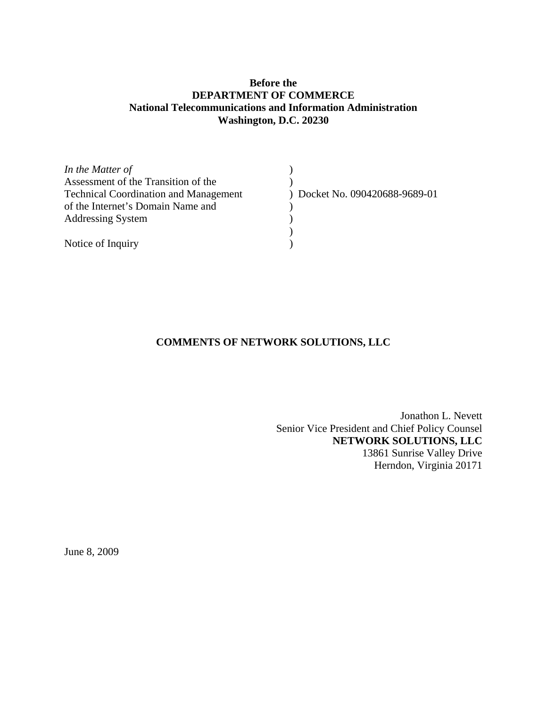# **Before the DEPARTMENT OF COMMERCE National Telecommunications and Information Administration Washington, D.C. 20230**

| In the Matter of                             |                              |
|----------------------------------------------|------------------------------|
| Assessment of the Transition of the          |                              |
| <b>Technical Coordination and Management</b> | Docket No. 090420688-9689-01 |
| of the Internet's Domain Name and            |                              |
| <b>Addressing System</b>                     |                              |
|                                              |                              |
| Notice of Inquiry                            |                              |

# **COMMENTS OF NETWORK SOLUTIONS, LLC**

Jonathon L. Nevett Senior Vice President and Chief Policy Counsel **NETWORK SOLUTIONS, LLC**  13861 Sunrise Valley Drive Herndon, Virginia 20171

June 8, 2009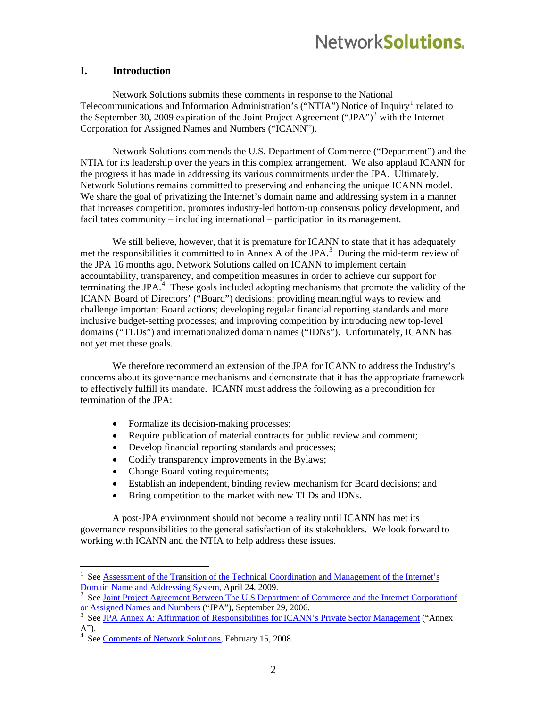# Network**Solutions**

#### **I. Introduction**

Network Solutions submits these comments in response to the National Telecommunications and Information Administration's ("NTIA") Notice of Inquiry<sup>[1](#page-1-0)</sup> related to the September 30, [2](#page-1-1)009 expiration of the Joint Project Agreement ("JPA")<sup>2</sup> with the Internet Corporation for Assigned Names and Numbers ("ICANN").

Network Solutions commends the U.S. Department of Commerce ("Department") and the NTIA for its leadership over the years in this complex arrangement. We also applaud ICANN for the progress it has made in addressing its various commitments under the JPA. Ultimately, Network Solutions remains committed to preserving and enhancing the unique ICANN model. We share the goal of privatizing the Internet's domain name and addressing system in a manner that increases competition, promotes industry-led bottom-up consensus policy development, and facilitates community – including international – participation in its management.

We still believe, however, that it is premature for ICANN to state that it has adequately met the responsibilities it committed to in Annex A of the JPA.<sup>[3](#page-1-2)</sup> During the mid-term review of the JPA 16 months ago, Network Solutions called on ICANN to implement certain accountability, transparency, and competition measures in order to achieve our support for terminating the JPA $^4$  $^4$ . These goals included adopting mechanisms that promote the validity of the ICANN Board of Directors' ("Board") decisions; providing meaningful ways to review and challenge important Board actions; developing regular financial reporting standards and more inclusive budget-setting processes; and improving competition by introducing new top-level domains ("TLDs") and internationalized domain names ("IDNs"). Unfortunately, ICANN has not yet met these goals.

We therefore recommend an extension of the JPA for ICANN to address the Industry's concerns about its governance mechanisms and demonstrate that it has the appropriate framework to effectively fulfill its mandate. ICANN must address the following as a precondition for termination of the JPA:

- Formalize its decision-making processes;
- Require publication of material contracts for public review and comment;
- Develop financial reporting standards and processes;
- Codify transparency improvements in the Bylaws;
- Change Board voting requirements;
- Establish an independent, binding review mechanism for Board decisions; and
- Bring competition to the market with new TLDs and IDNs.

A post-JPA environment should not become a reality until ICANN has met its governance responsibilities to the general satisfaction of its stakeholders. We look forward to working with ICANN and the NTIA to help address these issues.

 $\overline{a}$ 

<span id="page-1-0"></span><sup>1</sup> See [Assessment of the Transition of the Technical Coordination and Management of the Internet's](http://www.ntia.doc.gov/frnotices/2009/FR_ICANNVol.74_No78_Apr242009.pdf)  [Domain Name and Addressing System,](http://www.ntia.doc.gov/frnotices/2009/FR_ICANNVol.74_No78_Apr242009.pdf) April 24, 2009. [2](http://www.ntia.doc.gov/frnotices/2009/FR_ICANNVol.74_No78_Apr242009.pdf)

<span id="page-1-1"></span>See [Joint Project Agreement Between The U.S Department of Commerce and the Internet Corporationf](http://www.ntia.doc.gov/ntiahome/domainname/agreements/jpa/ICANNJPA_09292006.htm)  [or Assigned Names and Numbers](http://www.ntia.doc.gov/ntiahome/domainname/agreements/jpa/ICANNJPA_09292006.htm) ("JPA"), September 29, 2006.

<span id="page-1-2"></span>See [JPA Annex A: Affirmation of Responsibilities for ICANN's Private Sector Management](http://www.ntia.doc.gov/ntiahome/domainname/agreements/jpa/ICANNBoardResolution_09252006.htm) ("Annex

<span id="page-1-3"></span>A").<br><sup>4</sup> See <u>Comments of Network Solutions</u>, February 15, 2008.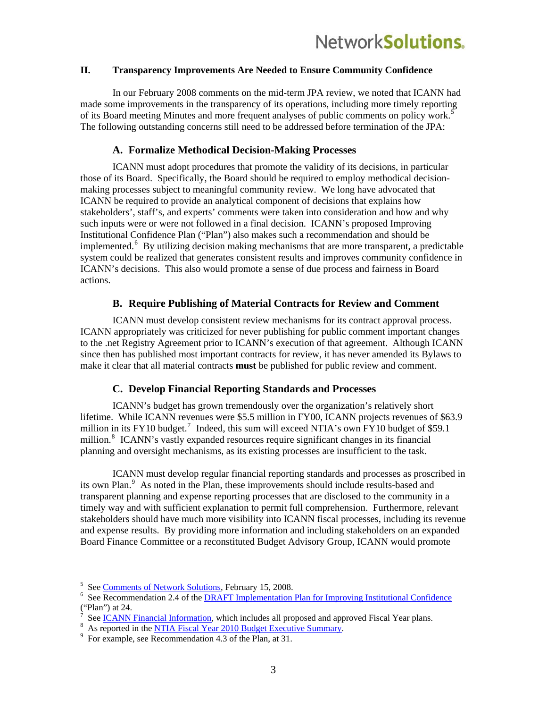#### **II. Transparency Improvements Are Needed to Ensure Community Confidence**

In our February 2008 comments on the mid-term JPA review, we noted that ICANN had made some improvements in the transparency of its operations, including more timely reporting of its Board meeting Minutes and more frequent analyses of public comments on policy work.<sup>[5](#page-2-0)</sup> The following outstanding concerns still need to be addressed before termination of the JPA:

#### **A. Formalize Methodical Decision-Making Processes**

ICANN must adopt procedures that promote the validity of its decisions, in particular those of its Board. Specifically, the Board should be required to employ methodical decisionmaking processes subject to meaningful community review. We long have advocated that ICANN be required to provide an analytical component of decisions that explains how stakeholders', staff's, and experts' comments were taken into consideration and how and why such inputs were or were not followed in a final decision. ICANN's proposed Improving Institutional Confidence Plan ("Plan") also makes such a recommendation and should be implemented.<sup>[6](#page-2-1)</sup> By utilizing decision making mechanisms that are more transparent, a predictable system could be realized that generates consistent results and improves community confidence in ICANN's decisions. This also would promote a sense of due process and fairness in Board actions.

#### **B. Require Publishing of Material Contracts for Review and Comment**

ICANN must develop consistent review mechanisms for its contract approval process. ICANN appropriately was criticized for never publishing for public comment important changes to the .net Registry Agreement prior to ICANN's execution of that agreement. Although ICANN since then has published most important contracts for review, it has never amended its Bylaws to make it clear that all material contracts **must** be published for public review and comment.

### **C. Develop Financial Reporting Standards and Processes**

ICANN's budget has grown tremendously over the organization's relatively short lifetime. While ICANN revenues were \$5.5 million in FY00, ICANN projects revenues of \$63.9 million in its FY10 budget.<sup>[7](#page-2-2)</sup> Indeed, this sum will exceed NTIA's own FY10 budget of \$59.1 million.<sup>[8](#page-2-3)</sup> ICANN's vastly expanded resources require significant changes in its financial planning and oversight mechanisms, as its existing processes are insufficient to the task.

ICANN must develop regular financial reporting standards and processes as proscribed in its own Plan.<sup>[9](#page-2-4)</sup> As noted in the Plan, these improvements should include results-based and transparent planning and expense reporting processes that are disclosed to the community in a timely way and with sufficient explanation to permit full comprehension. Furthermore, relevant stakeholders should have much more visibility into ICANN fiscal processes, including its revenue and expense results. By providing more information and including stakeholders on an expanded Board Finance Committee or a reconstituted Budget Advisory Group, ICANN would promote

 $5\text{ See } \frac{\text{Comments of Network Solutions}}{5}$ , February 15, 2008.

<span id="page-2-1"></span><span id="page-2-0"></span><sup>&</sup>lt;sup>6</sup> See Recommendation 2.4 of the **DRAFT** Implementation Plan for Improving Institutional Confidence ("Plan") at 24.

<span id="page-2-2"></span>See [ICANN Financial Information,](http://www.icann.org/en/general/financial.html) which includes all proposed and approved Fiscal Year plans.

<span id="page-2-3"></span><sup>&</sup>lt;sup>8</sup> As reported in the <u>NTIA Fiscal Year 2010 Budget Executive Summary</u>.

<span id="page-2-4"></span> $9^9$  For example, see Recommendation 4.3 of the Plan, at 31.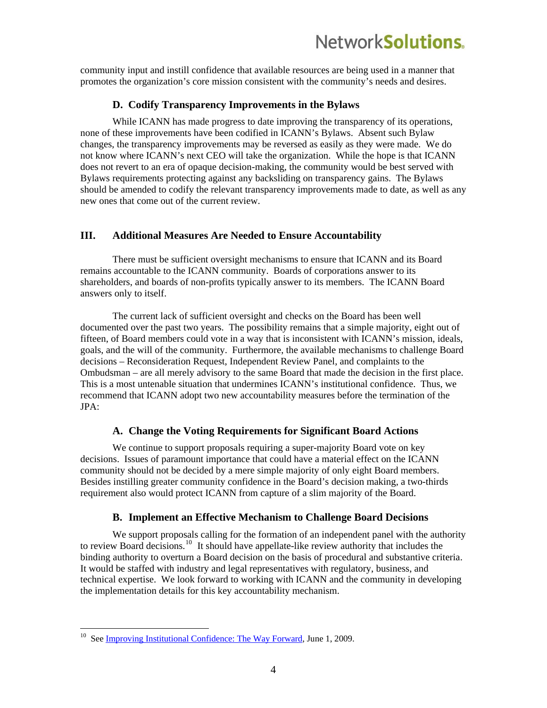community input and instill confidence that available resources are being used in a manner that promotes the organization's core mission consistent with the community's needs and desires.

#### **D. Codify Transparency Improvements in the Bylaws**

While ICANN has made progress to date improving the transparency of its operations, none of these improvements have been codified in ICANN's Bylaws. Absent such Bylaw changes, the transparency improvements may be reversed as easily as they were made. We do not know where ICANN's next CEO will take the organization. While the hope is that ICANN does not revert to an era of opaque decision-making, the community would be best served with Bylaws requirements protecting against any backsliding on transparency gains. The Bylaws should be amended to codify the relevant transparency improvements made to date, as well as any new ones that come out of the current review.

#### **III. Additional Measures Are Needed to Ensure Accountability**

There must be sufficient oversight mechanisms to ensure that ICANN and its Board remains accountable to the ICANN community. Boards of corporations answer to its shareholders, and boards of non-profits typically answer to its members. The ICANN Board answers only to itself.

The current lack of sufficient oversight and checks on the Board has been well documented over the past two years. The possibility remains that a simple majority, eight out of fifteen, of Board members could vote in a way that is inconsistent with ICANN's mission, ideals, goals, and the will of the community. Furthermore, the available mechanisms to challenge Board decisions – Reconsideration Request, Independent Review Panel, and complaints to the Ombudsman – are all merely advisory to the same Board that made the decision in the first place. This is a most untenable situation that undermines ICANN's institutional confidence. Thus, we recommend that ICANN adopt two new accountability measures before the termination of the JPA:

#### **A. Change the Voting Requirements for Significant Board Actions**

We continue to support proposals requiring a super-majority Board vote on key decisions. Issues of paramount importance that could have a material effect on the ICANN community should not be decided by a mere simple majority of only eight Board members. Besides instilling greater community confidence in the Board's decision making, a two-thirds requirement also would protect ICANN from capture of a slim majority of the Board.

#### **B. Implement an Effective Mechanism to Challenge Board Decisions**

We support proposals calling for the formation of an independent panel with the authority to review Board decisions.<sup>[10](#page-3-0)</sup> It should have appellate-like review authority that includes the binding authority to overturn a Board decision on the basis of procedural and substantive criteria. It would be staffed with industry and legal representatives with regulatory, business, and technical expertise. We look forward to working with ICANN and the community in developing the implementation details for this key accountability mechanism.

 $\overline{a}$ 

<span id="page-3-0"></span><sup>&</sup>lt;sup>10</sup> See [Improving Institutional Confidence: The Way Forward,](http://www.icann.org/en/announcements/announcement-2-01jun09-en.htm) June 1, 2009.